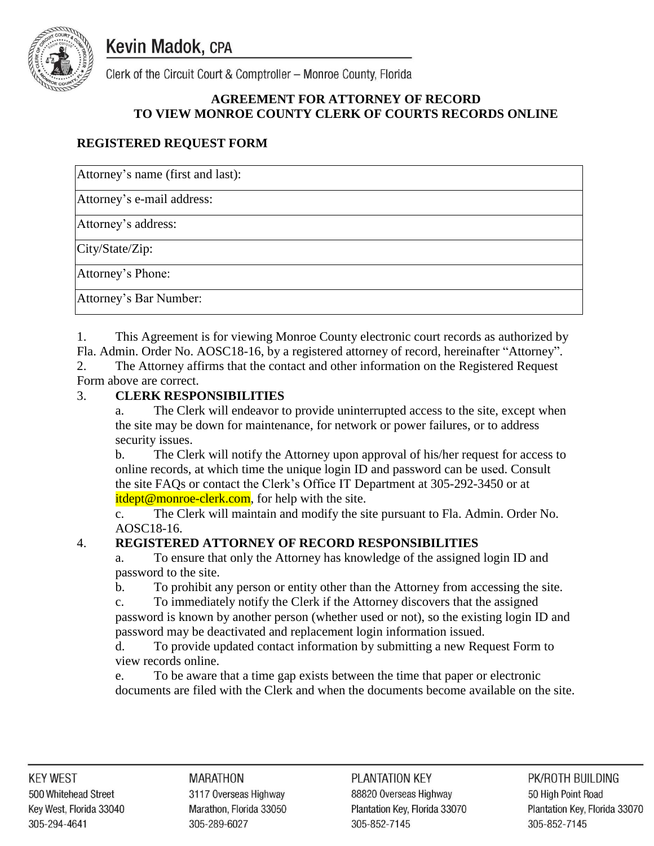**Kevin Madok, CPA** 



Clerk of the Circuit Court & Comptroller - Monroe County, Florida

# **AGREEMENT FOR ATTORNEY OF RECORD TO VIEW MONROE COUNTY CLERK OF COURTS RECORDS ONLINE**

# **REGISTERED REQUEST FORM**

Attorney's name (first and last):

Attorney's e-mail address:

Attorney's address:

City/State/Zip:

Attorney's Phone:

Attorney's Bar Number:

1. This Agreement is for viewing Monroe County electronic court records as authorized by Fla. Admin. Order No. AOSC18-16, by a registered attorney of record, hereinafter "Attorney".

2. The Attorney affirms that the contact and other information on the Registered Request Form above are correct.

# 3. **CLERK RESPONSIBILITIES**

a. The Clerk will endeavor to provide uninterrupted access to the site, except when the site may be down for maintenance, for network or power failures, or to address security issues.

b. The Clerk will notify the Attorney upon approval of his/her request for access to online records, at which time the unique login ID and password can be used. Consult the site FAQs or contact the Clerk's Office IT Department at 305-292-3450 or at itdept@monroe-clerk.com, for help with the site.

c. The Clerk will maintain and modify the site pursuant to Fla. Admin. Order No. AOSC18-16.

# 4. **REGISTERED ATTORNEY OF RECORD RESPONSIBILITIES**

a. To ensure that only the Attorney has knowledge of the assigned login ID and password to the site.

b. To prohibit any person or entity other than the Attorney from accessing the site.

c. To immediately notify the Clerk if the Attorney discovers that the assigned password is known by another person (whether used or not), so the existing login ID and password may be deactivated and replacement login information issued.

d. To provide updated contact information by submitting a new Request Form to view records online.

e. To be aware that a time gap exists between the time that paper or electronic documents are filed with the Clerk and when the documents become available on the site.

**MARATHON** 3117 Overseas Highway Marathon, Florida 33050 305-289-6027

Page **1** of **3** Plantation Key, Florida 33070 305-852-7145

PK/ROTH BUILDING 50 High Point Road Plantation Key, Florida 33070 305-852-7145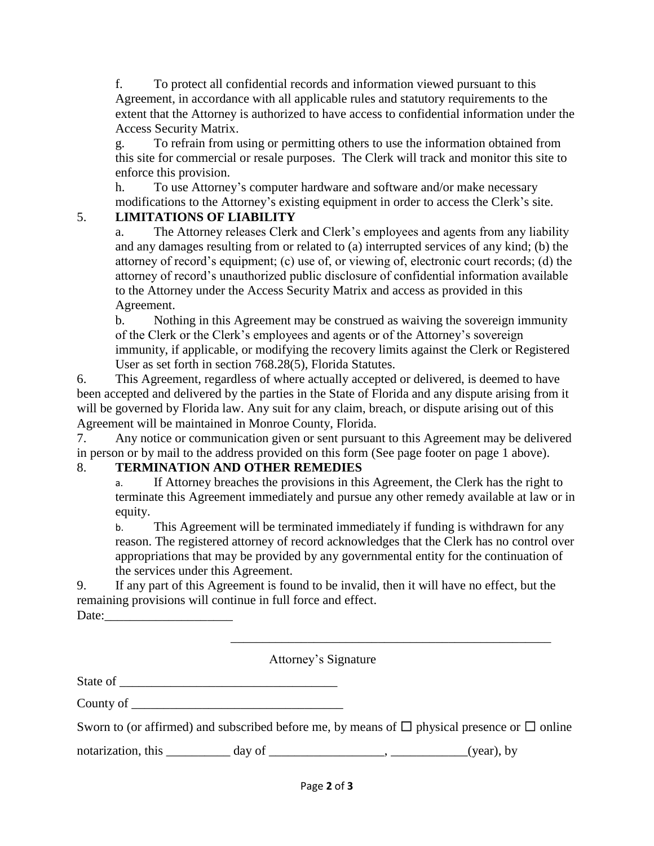f. To protect all confidential records and information viewed pursuant to this Agreement, in accordance with all applicable rules and statutory requirements to the extent that the Attorney is authorized to have access to confidential information under the Access Security Matrix.

g. To refrain from using or permitting others to use the information obtained from this site for commercial or resale purposes. The Clerk will track and monitor this site to enforce this provision.

h. To use Attorney's computer hardware and software and/or make necessary modifications to the Attorney's existing equipment in order to access the Clerk's site.

# 5. **LIMITATIONS OF LIABILITY**

a. The Attorney releases Clerk and Clerk's employees and agents from any liability and any damages resulting from or related to (a) interrupted services of any kind; (b) the attorney of record's equipment; (c) use of, or viewing of, electronic court records; (d) the attorney of record's unauthorized public disclosure of confidential information available to the Attorney under the Access Security Matrix and access as provided in this Agreement.

b. Nothing in this Agreement may be construed as waiving the sovereign immunity of the Clerk or the Clerk's employees and agents or of the Attorney's sovereign immunity, if applicable, or modifying the recovery limits against the Clerk or Registered User as set forth in section 768.28(5), Florida Statutes.

6. This Agreement, regardless of where actually accepted or delivered, is deemed to have been accepted and delivered by the parties in the State of Florida and any dispute arising from it will be governed by Florida law. Any suit for any claim, breach, or dispute arising out of this Agreement will be maintained in Monroe County, Florida.

7. Any notice or communication given or sent pursuant to this Agreement may be delivered in person or by mail to the address provided on this form (See page footer on page 1 above).

# 8. **TERMINATION AND OTHER REMEDIES**

a. If Attorney breaches the provisions in this Agreement, the Clerk has the right to terminate this Agreement immediately and pursue any other remedy available at law or in equity.

b. This Agreement will be terminated immediately if funding is withdrawn for any reason. The registered attorney of record acknowledges that the Clerk has no control over appropriations that may be provided by any governmental entity for the continuation of the services under this Agreement.

\_\_\_\_\_\_\_\_\_\_\_\_\_\_\_\_\_\_\_\_\_\_\_\_\_\_\_\_\_\_\_\_\_\_\_\_\_\_\_\_\_\_\_\_\_\_\_\_\_\_

9. If any part of this Agreement is found to be invalid, then it will have no effect, but the remaining provisions will continue in full force and effect. Date:

Attorney's Signature

State of \_\_\_\_\_\_\_\_\_\_\_\_\_\_\_\_\_\_\_\_\_\_\_\_\_\_\_\_\_\_\_\_\_\_

County of \_\_\_\_\_\_\_\_\_\_\_\_\_\_\_\_\_\_\_\_\_\_\_\_\_\_\_\_\_\_\_\_\_

Sworn to (or affirmed) and subscribed before me, by means of  $\Box$  physical presence or  $\Box$  online

notarization, this  $\frac{1}{\sqrt{2\pi}}$  day of  $\frac{1}{\sqrt{2\pi}}$  (year), by